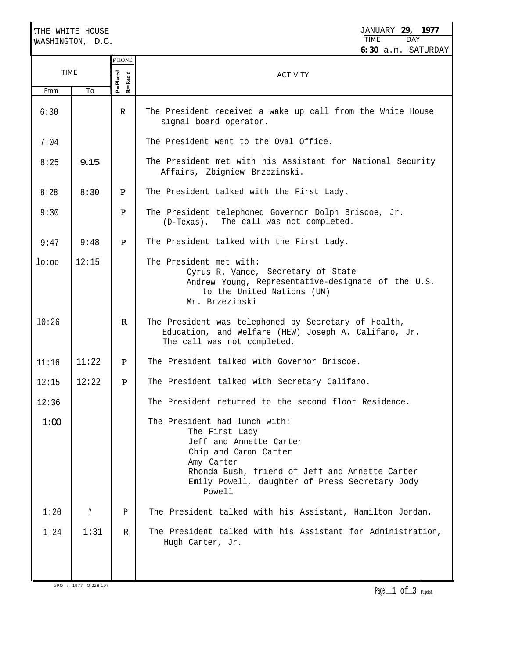|       | THE WHITE HOUSE  |                             | JANUARY 29.<br>1977                                                                                                                                                                                                             |  |  |  |
|-------|------------------|-----------------------------|---------------------------------------------------------------------------------------------------------------------------------------------------------------------------------------------------------------------------------|--|--|--|
|       | WASHINGTON, D.C. |                             | <b>TIME</b><br>DAY<br>6:30 a.m. SATURDAY                                                                                                                                                                                        |  |  |  |
|       | <b>TIME</b>      |                             | <b>ACTIVITY</b>                                                                                                                                                                                                                 |  |  |  |
| From  | To               | $P =$ Placed<br>$R = Rec'd$ |                                                                                                                                                                                                                                 |  |  |  |
| 6:30  |                  | R                           | The President received a wake up call from the White House<br>signal board operator.                                                                                                                                            |  |  |  |
| 7:04  |                  |                             | The President went to the Oval Office.                                                                                                                                                                                          |  |  |  |
| 8:25  | 9:15             |                             | The President met with his Assistant for National Security<br>Affairs, Zbigniew Brzezinski.                                                                                                                                     |  |  |  |
| 8:28  | 8:30             | P                           | The President talked with the First Lady.                                                                                                                                                                                       |  |  |  |
| 9:30  |                  | $\mathbf{P}$                | The President telephoned Governor Dolph Briscoe, Jr.<br>The call was not completed.<br>(D-Texas).                                                                                                                               |  |  |  |
| 9:47  | 9:48             | $\mathbf{P}$                | The President talked with the First Lady.                                                                                                                                                                                       |  |  |  |
| lo:oo | 12:15            |                             | The President met with:<br>Cyrus R. Vance, Secretary of State<br>Andrew Young, Representative-designate of the U.S.<br>to the United Nations (UN)<br>Mr. Brzezinski                                                             |  |  |  |
| 10:26 |                  | R                           | The President was telephoned by Secretary of Health,<br>Education, and Welfare (HEW) Joseph A. Califano, Jr.<br>The call was not completed.                                                                                     |  |  |  |
| 11:16 | 11:22            | P                           | The President talked with Governor Briscoe.                                                                                                                                                                                     |  |  |  |
| 12:15 | 12:22            | P                           | The President talked with Secretary Califano.                                                                                                                                                                                   |  |  |  |
| 12:36 |                  |                             | The President returned to the second floor Residence.                                                                                                                                                                           |  |  |  |
| 1:00  |                  |                             | The President had lunch with:<br>The First Lady<br>Jeff and Annette Carter<br>Chip and Caron Carter<br>Amy Carter<br>Rhonda Bush, friend of Jeff and Annette Carter<br>Emily Powell, daughter of Press Secretary Jody<br>Powell |  |  |  |
| 1:20  | ?                | Ρ                           | The President talked with his Assistant, Hamilton Jordan.                                                                                                                                                                       |  |  |  |
| 1:24  | 1:31             | R                           | The President talked with his Assistant for Administration,<br>Hugh Carter, Jr.                                                                                                                                                 |  |  |  |

GPO : 1977 O-228-197

Page $\perp$  of  $\Box$  Page(s).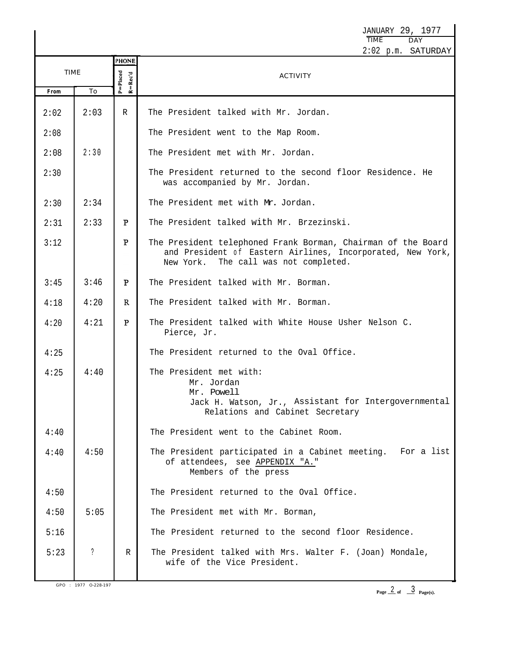JANUARY 29, 1977<br>TIME DAY TIME 2:02 p.m. SATURDAY **?HONE** TIME  $P = Placed$  $Recd$ **ACTIVITY** \_≝ From To 2:02 2:03 R The President talked with Mr. Jordan. The President went to the Map Room. 2:08 2:30 The President met with Mr. Jordan. 2:08 The President returned to the second floor Residence. He 2:30 was accompanied by Mr. Jordan. 2:34 2:30 The President met with Mr. Jordan. 2:33  $\mathbf{P}$ The President talked with Mr. Brzezinski. 2:31  $\mathbf{p}$ 3:12 The President telephoned Frank Borman, Chairman of the Board and President of Eastern Airlines, Incorporated, New York, New York. The call was not completed. 3:45 3:46  $\mathbf{P}$ The President talked with Mr. Borman. 4:18 4:20  $\mathbb{R}$ The President talked with Mr. Borman. 4:20 4:21  $\mathbf{P}$ The President talked with White House Usher Nelson C. Pierce, Jr. 4:25 The President returned to the Oval Office. The President met with: 4:25 4:40 Mr. Jordan Mr. Powell Jack H. Watson, Jr., Assistant for Intergovernmental Relations and Cabinet Secretary 4:40 The President went to the Cabinet Room. 4:40 4:50 The President participated in a Cabinet meeting. For a list of attendees, see APPENDIX "A." Members of the press 4:50 The President returned to the Oval Office. 4:50 5:05 The President met with Mr. Borman, 5:16 The President returned to the second floor Residence. ? The President talked with Mrs. Walter F. (Joan) Mondale, 5:23 R wife of the Vice President.

GPO : 1977 O-228-197

Page  $\frac{2}{5}$  of  $\frac{3}{5}$ 3 **Page(s).**